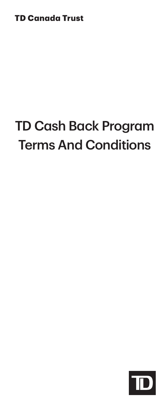# TD Cash Back Program Terms And Conditions

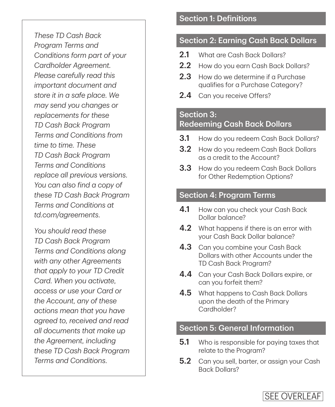*These TD Cash Back Program Terms and Conditions form part of your Cardholder Agreement. Please carefully read this important document and store it in a safe place. We may send you changes or replacements for these TD Cash Back Program Terms and Conditions from time to time. These TD Cash Back Program Terms and Conditions replace all previous versions. You can also find a copy of these TD Cash Back Program Terms and Conditions at [td.com/agreements](https://td.com/agreements).*

*You should read these TD Cash Back Program Terms and Conditions along with any other Agreements that apply to your TD Credit Card. When you activate, access or use your Card or the Account, any of these actions mean that you have agreed to, received and read all documents that make up the Agreement, including these TD Cash Back Program Terms and Conditions.*

# Section 1: Definitions

#### Section 2: Earning Cash Back Dollars

- 2.1 What are Cash Back Dollars?
- 2.2 How do you earn Cash Back Dollars?
- **2.3** How do we determine if a Purchase qualifies for a Purchase Category?
- 2.4 Can you receive Offers?

# Section 3:

#### Redeeming Cash Back Dollars

- **3.1** How do you redeem Cash Back Dollars?
- 3.2 How do you redeem Cash Back Dollars as a credit to the Account?
- **3.3** How do you redeem Cash Back Dollars for Other Redemption Options?

### Section 4: Program Terms

- 4.1 How can you check your Cash Back Dollar balance?
- **4.2** What happens if there is an error with your Cash Back Dollar balance?
- 4.3 Can you combine your Cash Back Dollars with other Accounts under the TD Cash Back Program?
- 4.4 Can your Cash Back Dollars expire, or can you forfeit them?
- **4.5** What happens to Cash Back Dollars upon the death of the Primary Cardholder?

### Section 5: General Information

- **5.1** Who is responsible for paying taxes that relate to the Program?
- **5.2** Can you sell, barter, or assign your Cash Back Dollars?

SEE OVERLEAF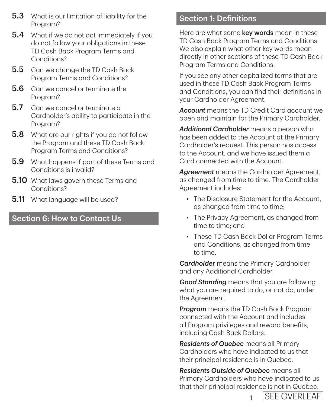- **5.3** What is our limitation of liability for the Program?
- **5.4** What if we do not act immediately if you do not follow your obligations in these TD Cash Back Program Terms and Conditions?
- **5.5** Can we change the TD Cash Back Program Terms and Conditions?
- **5.6** Can we cancel or terminate the Program?
- **5.7** Can we cancel or terminate a Cardholder's ability to participate in the Program?
- **5.8** What are our rights if you do not follow the Program and these TD Cash Back Program Terms and Conditions?
- **5.9** What happens if part of these Terms and Conditions is invalid?
- **5.10** What laws govern these Terms and Conditions?
- **5.11** What language will be used?

# Section 6: How to Contact Us

### Section 1: Definitions

Here are what some key words mean in these TD Cash Back Program Terms and Conditions. We also explain what other key words mean directly in other sections of these TD Cash Back Program Terms and Conditions.

If you see any other capitalized terms that are used in these TD Cash Back Program Terms and Conditions, you can find their definitions in your Cardholder Agreement.

*Account* means the TD Credit Card account we open and maintain for the Primary Cardholder.

*Additional Cardholder* means a person who has been added to the Account at the Primary Cardholder's request. This person has access to the Account, and we have issued them a Card connected with the Account.

*Agreement* means the Cardholder Agreement, as changed from time to time. The Cardholder Agreement includes:

- The Disclosure Statement for the Account, as changed from time to time;
- The Privacy Agreement, as changed from time to time; and
- These TD Cash Back Dollar Program Terms and Conditions, as changed from time to time.

*Cardholder* means the Primary Cardholder and any Additional Cardholder.

*Good Standing* means that you are following what you are required to do, or not do, under the Agreement.

*Program* means the TD Cash Back Program connected with the Account and includes all Program privileges and reward benefits, including Cash Back Dollars.

*Residents of Quebec* means all Primary Cardholders who have indicated to us that their principal residence is in Quebec.

*Residents Outside of Quebec* means all Primary Cardholders who have indicated to us that their principal residence is not in Quebec.

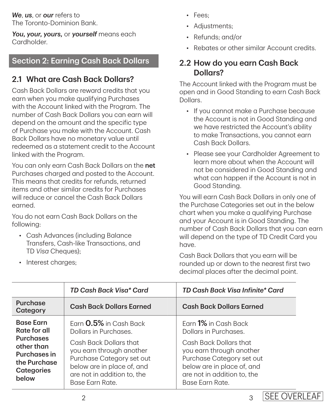*We*, *us*, or *our* refers to The Toronto-Dominion Bank.

*You, your, yours,* or *yourself* means each Cardholder.

# Section 2: Earning Cash Back Dollars

# 2.1 What are Cash Back Dollars?

Cash Back Dollars are reward credits that you earn when you make qualifying Purchases with the Account linked with the Program. The number of Cash Back Dollars you can earn will depend on the amount and the specific type of Purchase you make with the Account. Cash Back Dollars have no monetary value until redeemed as a statement credit to the Account linked with the Program.

You can only earn Cash Back Dollars on the net Purchases charged and posted to the Account. This means that credits for refunds, returned items and other similar credits for Purchases will reduce or cancel the Cash Back Dollars earned.

You do not earn Cash Back Dollars on the following:

- Cash Advances (including Balance Transfers, Cash-like Transactions, and TD *Visa* Cheques);
- Interest charges;
- Fees;
- Adjustments;
- Refunds; and/or
- Rebates or other similar Account credits.

### 2.2 How do you earn Cash Back Dollars?

The Account linked with the Program must be open and in Good Standing to earn Cash Back Dollars.

- If you cannot make a Purchase because the Account is not in Good Standing and we have restricted the Account's ability to make Transactions, you cannot earn Cash Back Dollars.
- Please see your Cardholder Agreement to learn more about when the Account will not be considered in Good Standing and what can happen if the Account is not in Good Standing.

You will earn Cash Back Dollars in only one of the Purchase Categories set out in the below chart when you make a qualifying Purchase and your Account is in Good Standing. The number of Cash Back Dollars that you can earn will depend on the type of TD Credit Card you have.

Cash Back Dollars that you earn will be rounded up or down to the nearest first two decimal places after the decimal point.

|                             | TD Cash Back Visa* Card         | TD Cash Back Visa Infinite* Card |
|-----------------------------|---------------------------------|----------------------------------|
| <b>Purchase</b><br>Category | <b>Cash Back Dollars Earned</b> | <b>Cash Back Dollars Earned</b>  |
| <b>Base Earn</b>            | Earn <b>0.5%</b> in Cash Back   | Earn 1% in Cash Back             |
| Rate for all                | Dollars in Purchases.           | Dollars in Purchases.            |
| <b>Purchases</b>            | Cash Back Dollars that          | Cash Back Dollars that           |
| other than                  | you earn through another        | you earn through another         |
| <b>Purchases in</b>         | Purchase Category set out       | Purchase Category set out        |
| the Purchase                | below are in place of, and      | below are in place of, and       |
| <b>Categories</b>           | are not in addition to, the     | are not in addition to, the      |
| below                       | Base Earn Rate.                 | Base Farn Rate.                  |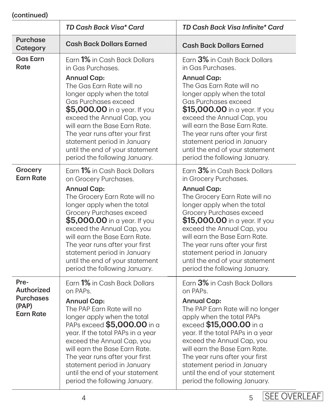### (continued)

|                                                                            | <b>TD Cash Back Visa* Card</b>                                                                                                                                                                                                                                                                                                                                                                              | <b>TD Cash Back Visa Infinite* Card</b>                                                                                                                                                                                                                                                                                                                                                                             |
|----------------------------------------------------------------------------|-------------------------------------------------------------------------------------------------------------------------------------------------------------------------------------------------------------------------------------------------------------------------------------------------------------------------------------------------------------------------------------------------------------|---------------------------------------------------------------------------------------------------------------------------------------------------------------------------------------------------------------------------------------------------------------------------------------------------------------------------------------------------------------------------------------------------------------------|
| <b>Purchase</b><br>Category                                                | <b>Cash Back Dollars Earned</b>                                                                                                                                                                                                                                                                                                                                                                             | <b>Cash Back Dollars Earned</b>                                                                                                                                                                                                                                                                                                                                                                                     |
| <b>Gas Earn</b><br>Rate                                                    | Earn 1% in Cash Back Dollars<br>in Gas Purchases.<br><b>Annual Cap:</b><br>The Gas Earn Rate will no<br>longer apply when the total<br><b>Gas Purchases exceed</b><br>\$5,000.00 in a year. If you<br>exceed the Annual Cap, you<br>will earn the Base Earn Rate.<br>The year runs after your first<br>statement period in January<br>until the end of your statement<br>period the following January.      | Earn 3% in Cash Back Dollars<br>in Gas Purchases.<br><b>Annual Cap:</b><br>The Gas Earn Rate will no<br>longer apply when the total<br><b>Gas Purchases exceed</b><br>\$15,000.00 in a year. If you<br>exceed the Annual Cap, you<br>will earn the Base Earn Rate.<br>The year runs after your first<br>statement period in January<br>until the end of your statement<br>period the following January.             |
| Grocery<br><b>Earn Rate</b>                                                | Earn 1% in Cash Back Dollars<br>on Grocery Purchases.<br><b>Annual Cap:</b><br>The Grocery Earn Rate will no<br>longer apply when the total<br>Grocery Purchases exceed<br>\$5,000.00 in a year. If you<br>exceed the Annual Cap, you<br>will earn the Base Earn Rate.<br>The year runs after your first<br>statement period in January<br>until the end of your statement<br>period the following January. | Earn 3% in Cash Back Dollars<br>in Grocery Purchases.<br><b>Annual Cap:</b><br>The Grocery Earn Rate will no<br>longer apply when the total<br><b>Grocery Purchases exceed</b><br>\$15,000.00 in a year. If you<br>exceed the Annual Cap, you<br>will earn the Base Earn Rate.<br>The year runs after your first<br>statement period in January<br>until the end of your statement<br>period the following January. |
| Pre-<br><b>Authorized</b><br><b>Purchases</b><br>(PAP)<br><b>Earn Rate</b> | Earn 1% in Cash Back Dollars<br>on PAPs.<br><b>Annual Cap:</b><br>The PAP Earn Rate will no<br>longer apply when the total<br>PAPs exceed \$5,000.00 in a<br>year. If the total PAPs in a year<br>exceed the Annual Cap, you<br>will earn the Base Earn Rate.<br>The year runs after your first<br>statement period in January<br>until the end of your statement<br>period the following January.          | Earn 3% in Cash Back Dollars<br>on PAPs.<br><b>Annual Cap:</b><br>The PAP Earn Rate will no longer<br>apply when the total PAPs<br>exceed \$15,000.00 in a<br>year. If the total PAPs in a year<br>exceed the Annual Cap, you<br>will earn the Base Earn Rate.<br>The year runs after your first<br>statement period in January<br>until the end of your statement<br>period the following January.                 |

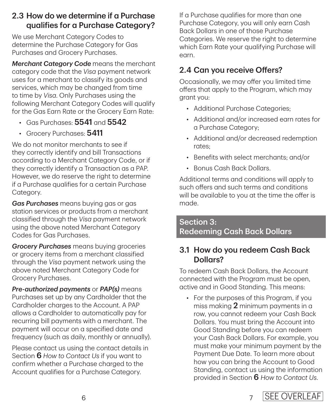# 2.3 How do we determine if a Purchase qualifies for a Purchase Category?

We use Merchant Category Codes to determine the Purchase Category for Gas Purchases and Grocery Purchases.

*Merchant Category Code* means the merchant category code that the *Visa* payment network uses for a merchant to classify its goods and services, which may be changed from time to time by *Visa*. Only Purchases using the following Merchant Category Codes will qualify for the Gas Earn Rate or the Grocery Earn Rate:

- Gas Purchases:  $5541$  and  $5542$
- Grocery Purchases: 5411

We do not monitor merchants to see if they correctly identify and bill Transactions according to a Merchant Category Code, or if they correctly identify a Transaction as a PAP. However, we do reserve the right to determine if a Purchase qualifies for a certain Purchase Category.

*Gas Purchases* means buying gas or gas station services or products from a merchant classified through the *Visa* payment network using the above noted Merchant Category Codes for Gas Purchases.

*Grocery Purchases* means buying groceries or grocery items from a merchant classified through the *Visa* payment network using the above noted Merchant Category Code for Grocery Purchases.

*Pre-authorized payments* or *PAP(s)* means Purchases set up by any Cardholder that the Cardholder charges to the Account. A PAP allows a Cardholder to automatically pay for recurring bill payments with a merchant. The payment will occur on a specified date and frequency (such as daily, monthly or annually).

Please contact us using the contact details in Section 6 *How to Contact Us* if you want to confirm whether a Purchase charged to the Account qualifies for a Purchase Category.

If a Purchase qualifies for more than one Purchase Category, you will only earn Cash Back Dollars in one of those Purchase Categories. We reserve the right to determine which Earn Rate your qualifying Purchase will earn.

# 2.4 Can you receive Offers?

Occasionally, we may offer you limited time offers that apply to the Program, which may grant you:

- Additional Purchase Categories;
- Additional and/or increased earn rates for a Purchase Category;
- Additional and/or decreased redemption rates;
- Benefits with select merchants; and/or
- Bonus Cash Back Dollars.

Additional terms and conditions will apply to such offers and such terms and conditions will be available to you at the time the offer is made.

# Section 3: Redeeming Cash Back Dollars

# 3.1 How do you redeem Cash Back Dollars?

To redeem Cash Back Dollars, the Account connected with the Program must be open, active and in Good Standing. This means:

• For the purposes of this Program, if you miss making 2 minimum payments in a row, you cannot redeem your Cash Back Dollars. You must bring the Account into Good Standing before you can redeem your Cash Back Dollars. For example, you must make your minimum payment by the Payment Due Date. To learn more about how you can bring the Account to Good Standing, contact us using the information provided in Section 6 *How to Contact Us*.

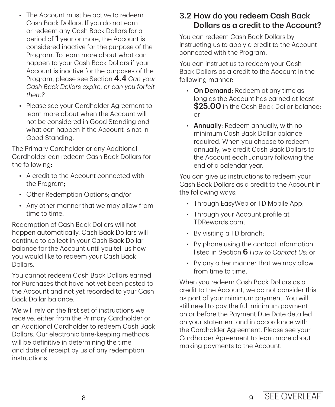- The Account must be active to redeem Cash Back Dollars. If you do not earn or redeem any Cash Back Dollars for a period of 1 year or more, the Account is considered inactive for the purpose of the Program. To learn more about what can happen to your Cash Back Dollars if your Account is inactive for the purposes of the Program, please see Section 4.4 *Can your Cash Back Dollars expire, or can you forfeit them?*
- Please see your Cardholder Agreement to learn more about when the Account will not be considered in Good Standing and what can happen if the Account is not in Good Standing.

The Primary Cardholder or any Additional Cardholder can redeem Cash Back Dollars for the following:

- A credit to the Account connected with the Program;
- Other Redemption Options; and/or
- Any other manner that we may allow from time to time.

Redemption of Cash Back Dollars will not happen automatically. Cash Back Dollars will continue to collect in your Cash Back Dollar balance for the Account until you tell us how you would like to redeem your Cash Back Dollars.

You cannot redeem Cash Back Dollars earned for Purchases that have not yet been posted to the Account and not yet recorded to your Cash Back Dollar balance.

We will rely on the first set of instructions we receive, either from the Primary Cardholder or an Additional Cardholder to redeem Cash Back Dollars. Our electronic time-keeping methods will be definitive in determining the time and date of receipt by us of any redemption instructions.

# 3.2 How do you redeem Cash Back Dollars as a credit to the Account?

You can redeem Cash Back Dollars by instructing us to apply a credit to the Account connected with the Program.

You can instruct us to redeem your Cash Back Dollars as a credit to the Account in the following manner:

- On Demand: Redeem at any time as long as the Account has earned at least \$25.00 in the Cash Back Dollar balance: or
- Annually: Redeem annually, with no minimum Cash Back Dollar balance required. When you choose to redeem annually, we credit Cash Back Dollars to the Account each January following the end of a calendar year.

You can give us instructions to redeem your Cash Back Dollars as a credit to the Account in the following ways:

- Through EasyWeb or TD Mobile App;
- Through your Account profile at [TDRewards.com](https://www.tdrewards.com);
- By visiting a TD branch;
- By phone using the contact information listed in Section 6 *How to Contact Us*; or
- By any other manner that we may allow from time to time.

When you redeem Cash Back Dollars as a credit to the Account, we do not consider this as part of your minimum payment. You will still need to pay the full minimum payment on or before the Payment Due Date detailed on your statement and in accordance with the Cardholder Agreement. Please see your Cardholder Agreement to learn more about making payments to the Account.

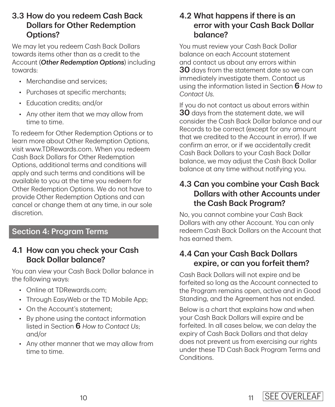# 3.3 How do you redeem Cash Back Dollars for Other Redemption Options?

We may let you redeem Cash Back Dollars towards items other than as a credit to the Account (*Other Redemption Options*) including towards:

- Merchandise and services;
- Purchases at specific merchants;
- Education credits; and/or
- Any other item that we may allow from time to time.

To redeem for Other Redemption Options or to learn more about Other Redemption Options, visit www.TDRewards.com. When you redeem Cash Back Dollars for Other Redemption Options, additional terms and conditions will apply and such terms and conditions will be available to you at the time you redeem for Other Redemption Options. We do not have to provide Other Redemption Options and can cancel or change them at any time, in our sole discretion.

# Section 4: Program Terms

# 4.1 How can you check your Cash Back Dollar balance?

You can view your Cash Back Dollar balance in the following ways:

- Online at [TDRewards.com;](https://www.tdrewards.com)
- Through EasyWeb or the TD Mobile App:
- On the Account's statement;
- By phone using the contact information listed in Section 6 *How to Contact Us*; and/or
- Any other manner that we may allow from time to time.

# 4.2 What happens if there is an error with your Cash Back Dollar balance?

You must review your Cash Back Dollar balance on each Account statement and contact us about any errors within  $30$  days from the statement date so we can  $\,$ immediately investigate them. Contact us using the information listed in Section 6 *How to Contact Us*.

If you do not contact us about errors within  ${\bf 30}$  days from the statement date, we will consider the Cash Back Dollar balance and our Records to be correct (except for any amount that we credited to the Account in error). If we confirm an error, or if we accidentally credit Cash Back Dollars to your Cash Back Dollar balance, we may adjust the Cash Back Dollar balance at any time without notifying you.

# 4.3 Can you combine your Cash Back Dollars with other Accounts under the Cash Back Program?

No, you cannot combine your Cash Back Dollars with any other Account. You can only redeem Cash Back Dollars on the Account that has earned them.

# 4.4 Can your Cash Back Dollars expire, or can you forfeit them?

Cash Back Dollars will not expire and be forfeited so long as the Account connected to the Program remains open, active and in Good Standing, and the Agreement has not ended.

Below is a chart that explains how and when your Cash Back Dollars will expire and be forfeited. In all cases below, we can delay the expiry of Cash Back Dollars and that delay does not prevent us from exercising our rights under these TD Cash Back Program Terms and Conditions.

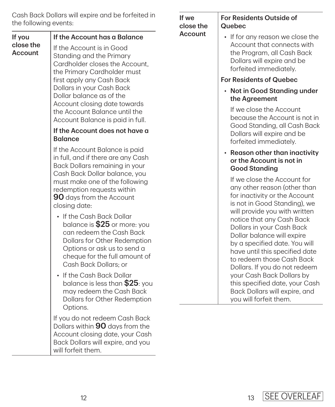| Cash Back Dollars will expire and be forfeited in |  |
|---------------------------------------------------|--|
| the following events:                             |  |

| the following events:                                                                                                                                                                                                                                                                                                                                                                                                                                                                                                                                                                                                                                                                                                                                                                                                                                                                                                                                                                                                                                             |                                                                                                                                                                 | close the                                            | Quebec                                                                                                                                                                                                                                                                                                                                                                                                                                                                                                           |  |
|-------------------------------------------------------------------------------------------------------------------------------------------------------------------------------------------------------------------------------------------------------------------------------------------------------------------------------------------------------------------------------------------------------------------------------------------------------------------------------------------------------------------------------------------------------------------------------------------------------------------------------------------------------------------------------------------------------------------------------------------------------------------------------------------------------------------------------------------------------------------------------------------------------------------------------------------------------------------------------------------------------------------------------------------------------------------|-----------------------------------------------------------------------------------------------------------------------------------------------------------------|------------------------------------------------------|------------------------------------------------------------------------------------------------------------------------------------------------------------------------------------------------------------------------------------------------------------------------------------------------------------------------------------------------------------------------------------------------------------------------------------------------------------------------------------------------------------------|--|
| If the Account has a Balance<br>If you<br>close the<br>If the Account is in Good<br><b>Account</b><br>Standing and the Primary<br>Cardholder closes the Account,<br>the Primary Cardholder must<br>first apply any Cash Back<br>Dollars in your Cash Back<br>Dollar balance as of the<br>Account closing date towards<br>the Account Balance until the<br>Account Balance is paid in full.<br>If the Account does not have a<br><b>Balance</b><br>If the Account Balance is paid<br>in full, and if there are any Cash<br>Back Dollars remaining in your<br>Cash Back Dollar balance, you<br>must make one of the following<br>redemption requests within<br>90 days from the Account<br>closing date:<br>• If the Cash Back Dollar<br>balance is \$25 or more: you<br>can redeem the Cash Back<br>Dollars for Other Redemption<br>Options or ask us to send a<br>cheque for the full amount of<br>Cash Back Dollars; or<br>• If the Cash Back Dollar<br>balance is less than $$25$ : you<br>may redeem the Cash Back<br>Dollars for Other Redemption<br>Options. |                                                                                                                                                                 | <b>Account</b>                                       | • If for any reason we close the<br>Account that connects with<br>the Program, all Cash Back<br>Dollars will expire and be<br>forfeited immediately.<br><b>For Residents of Quebec</b><br>• Not in Good Standing under<br>the Agreement<br>If we close the Account<br>because the Account is not in<br>Good Standing, all Cash Back                                                                                                                                                                              |  |
|                                                                                                                                                                                                                                                                                                                                                                                                                                                                                                                                                                                                                                                                                                                                                                                                                                                                                                                                                                                                                                                                   |                                                                                                                                                                 | Dollars will expire and be<br>forfeited immediately. |                                                                                                                                                                                                                                                                                                                                                                                                                                                                                                                  |  |
|                                                                                                                                                                                                                                                                                                                                                                                                                                                                                                                                                                                                                                                                                                                                                                                                                                                                                                                                                                                                                                                                   |                                                                                                                                                                 |                                                      | • Reason other than inactivity<br>or the Account is not in<br><b>Good Standing</b>                                                                                                                                                                                                                                                                                                                                                                                                                               |  |
|                                                                                                                                                                                                                                                                                                                                                                                                                                                                                                                                                                                                                                                                                                                                                                                                                                                                                                                                                                                                                                                                   |                                                                                                                                                                 |                                                      | If we close the Account for<br>any other reason (other than<br>for inactivity or the Account<br>is not in Good Standing), we<br>will provide you with written<br>notice that any Cash Back<br>Dollars in your Cash Back<br>Dollar balance will expire<br>by a specified date. You will<br>have until this specified date<br>to redeem those Cash Back<br>Dollars. If you do not redeem<br>your Cash Back Dollars by<br>this specified date, your Cash<br>Back Dollars will expire, and<br>you will forfeit them. |  |
|                                                                                                                                                                                                                                                                                                                                                                                                                                                                                                                                                                                                                                                                                                                                                                                                                                                                                                                                                                                                                                                                   | If you do not redeem Cash Back<br>Dollars within 90 days from the<br>Account closing date, your Cash<br>Back Dollars will expire, and you<br>will forfeit them. |                                                      |                                                                                                                                                                                                                                                                                                                                                                                                                                                                                                                  |  |

If we

For Residents Outside of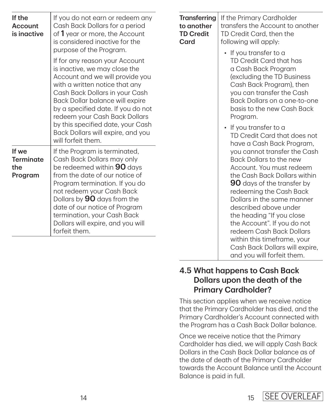| If the<br><b>Account</b><br>is inactive     | If you do not earn or redeem any<br>Cash Back Dollars for a period<br>of 1 year or more, the Account<br>is considered inactive for the<br>purpose of the Program.                                                                                                                                                                                                                | <b>Transferring</b><br>to another<br><b>TD Credit</b><br>Card | If the Primary Cardholder<br>transfers the Account to another<br>TD Credit Card, then the<br>following will apply:<br>• If you transfer to a                                                                                                                                                                                                               |
|---------------------------------------------|----------------------------------------------------------------------------------------------------------------------------------------------------------------------------------------------------------------------------------------------------------------------------------------------------------------------------------------------------------------------------------|---------------------------------------------------------------|------------------------------------------------------------------------------------------------------------------------------------------------------------------------------------------------------------------------------------------------------------------------------------------------------------------------------------------------------------|
|                                             | If for any reason your Account<br>is inactive, we may close the<br>Account and we will provide you<br>with a written notice that any<br>Cash Back Dollars in your Cash<br>Back Dollar balance will expire<br>by a specified date. If you do not<br>redeem your Cash Back Dollars<br>by this specified date, your Cash<br>Back Dollars will expire, and you<br>will forfeit them. |                                                               | TD Credit Card that has<br>a Cash Back Program<br>(excluding the TD Business<br>Cash Back Program), then<br>you can transfer the Cash<br>Back Dollars on a one-to-one<br>basis to the new Cash Back<br>Program.<br>• If you transfer to a<br>TD Credit Card that does not<br>have a Cash Back Program,                                                     |
| If we<br><b>Terminate</b><br>the<br>Program | If the Program is terminated,<br>Cash Back Dollars may only<br>be redeemed within 90 days<br>from the date of our notice of<br>Program termination. If you do<br>not redeem your Cash Back<br>Dollars by 90 days from the<br>date of our notice of Program<br>termination, your Cash Back<br>Dollars will expire, and you will<br>forfeit them.                                  |                                                               | you cannot transfer the Cash<br>Back Dollars to the new<br>Account. You must redeem<br>the Cash Back Dollars within<br>90 days of the transfer by<br>redeeming the Cash Back<br>Dollars in the same manner<br>described above under<br>the heading "If you close<br>the Account". If you do not<br>redeem Cash Back Dollars<br>within this timeframe, your |

### 4.5 What happens to Cash Back Dollars upon the death of the Primary Cardholder?

This section applies when we receive notice that the Primary Cardholder has died, and the Primary Cardholder's Account connected with the Program has a Cash Back Dollar balance.

Cash Back Dollars will expire, and you will forfeit them.

Once we receive notice that the Primary Cardholder has died, we will apply Cash Back Dollars in the Cash Back Dollar balance as of the date of death of the Primary Cardholder towards the Account Balance until the Account Balance is paid in full.

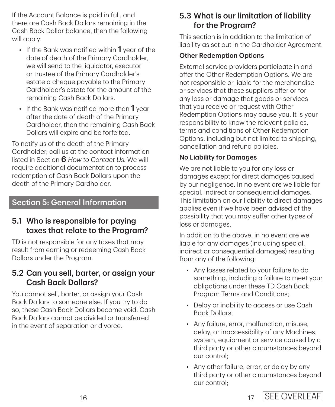If the Account Balance is paid in full, and there are Cash Back Dollars remaining in the Cash Back Dollar balance, then the following will apply:

- $\cdot$  If the Bank was notified within 1 year of the date of death of the Primary Cardholder, we will send to the liquidator, executor or trustee of the Primary Cardholder's estate a cheque payable to the Primary Cardholder's estate for the amount of the remaining Cash Back Dollars.
- If the Bank was notified more than  $1$  year after the date of death of the Primary Cardholder, then the remaining Cash Back Dollars will expire and be forfeited.

To notify us of the death of the Primary Cardholder, call us at the contact information listed in Section 6 *How to Contact Us*. We will require additional documentation to process redemption of Cash Back Dollars upon the death of the Primary Cardholder.

# Section 5: General Information

# 5.1 Who is responsible for paying taxes that relate to the Program?

TD is not responsible for any taxes that may result from earning or redeeming Cash Back Dollars under the Program.

# 5.2 Can you sell, barter, or assign your Cash Back Dollars?

You cannot sell, barter, or assign your Cash Back Dollars to someone else. If you try to do so, these Cash Back Dollars become void. Cash Back Dollars cannot be divided or transferred in the event of separation or divorce.

# 5.3 What is our limitation of liability for the Program?

This section is in addition to the limitation of liability as set out in the Cardholder Agreement.

#### Other Redemption Options

External service providers participate in and offer the Other Redemption Options. We are not responsible or liable for the merchandise or services that these suppliers offer or for any loss or damage that goods or services that you receive or request with Other Redemption Options may cause you. It is your responsibility to know the relevant policies, terms and conditions of Other Redemption Options, including but not limited to shipping, cancellation and refund policies.

#### No Liability for Damages

We are not liable to you for any loss or damages except for direct damages caused by our negligence. In no event are we liable for special, indirect or consequential damages. This limitation on our liability to direct damages applies even if we have been advised of the possibility that you may suffer other types of loss or damages.

In addition to the above, in no event are we liable for any damages (including special, indirect or consequential damages) resulting from any of the following:

- Any losses related to your failure to do something, including a failure to meet your obligations under these TD Cash Back Program Terms and Conditions;
- Delay or inability to access or use Cash Back Dollars;
- Any failure, error, malfunction, misuse, delay, or inaccessibility of any Machines, system, equipment or service caused by a third party or other circumstances beyond our control;
- Any other failure, error, or delay by any third party or other circumstances beyond our control;

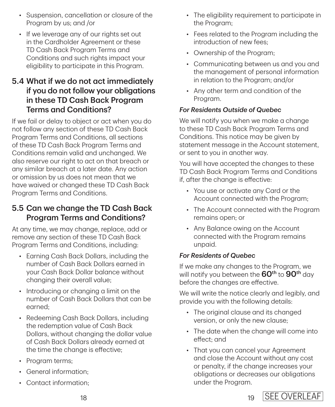- Suspension, cancellation or closure of the Program by us; and /or
- If we leverage any of our rights set out in the Cardholder Agreement or these TD Cash Back Program Terms and Conditions and such rights impact your eligibility to participate in this Program.

# 5.4 What if we do not act immediately if you do not follow your obligations in these TD Cash Back Program Terms and Conditions?

If we fail or delay to object or act when you do not follow any section of these TD Cash Back Program Terms and Conditions, all sections of these TD Cash Back Program Terms and Conditions remain valid and unchanged. We also reserve our right to act on that breach or any similar breach at a later date. Any action or omission by us does not mean that we have waived or changed these TD Cash Back Program Terms and Conditions.

# 5.5 Can we change the TD Cash Back Program Terms and Conditions?

At any time, we may change, replace, add or remove any section of these TD Cash Back Program Terms and Conditions, including:

- Earning Cash Back Dollars, including the number of Cash Back Dollars earned in your Cash Back Dollar balance without changing their overall value;
- Introducing or changing a limit on the number of Cash Back Dollars that can be earned;
- Redeeming Cash Back Dollars, including the redemption value of Cash Back Dollars, without changing the dollar value of Cash Back Dollars already earned at the time the change is effective;
- Program terms;
- General information;
- Contact information;
- The eligibility requirement to participate in the Program;
- Fees related to the Program including the introduction of new fees;
- Ownership of the Program;
- Communicating between us and you and the management of personal information in relation to the Program; and/or
- Any other term and condition of the Program.

### *For Residents Outside of Quebec*

We will notify you when we make a change to these TD Cash Back Program Terms and Conditions. This notice may be given by statement message in the Account statement, or sent to you in another way.

You will have accepted the changes to these TD Cash Back Program Terms and Conditions if, after the change is effective:

- You use or activate any Card or the Account connected with the Program;
- The Account connected with the Program remains open; or
- Any Balance owing on the Account connected with the Program remains unpaid.

#### *For Residents of Quebec*

If we make any changes to the Program, we will notify you between the  $60<sup>th</sup>$  to  $90<sup>th</sup>$  day before the changes are effective.

We will write the notice clearly and legibly, and provide you with the following details:

- The original clause and its changed version, or only the new clause;
- The date when the change will come into effect; and
- That you can cancel your Agreement and close the Account without any cost or penalty, if the change increases your obligations or decreases our obligations under the Program.

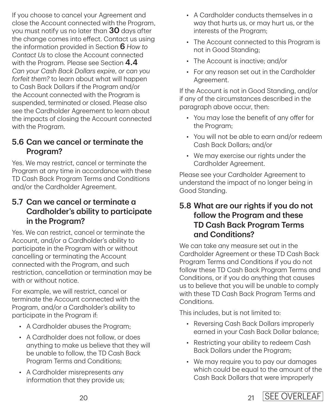If you choose to cancel your Agreement and close the Account connected with the Program, you must notify us no later than 30 days after the change comes into effect. Contact us using the information provided in Section 6 *How to Contact Us* to close the Account connected with the Program. Please see Section 4.4 *Can your Cash Back Dollars expire, or can you forfeit them?* to learn about what will happen to Cash Back Dollars if the Program and/or the Account connected with the Program is suspended, terminated or closed. Please also see the Cardholder Agreement to learn about the impacts of closing the Account connected with the Program.

# 5.6 Can we cancel or terminate the Program?

Yes. We may restrict, cancel or terminate the Program at any time in accordance with these TD Cash Back Program Terms and Conditions and/or the Cardholder Agreement.

# 5.7 Can we cancel or terminate a Cardholder's ability to participate in the Program?

Yes. We can restrict, cancel or terminate the Account, and/or a Cardholder's ability to participate in the Program with or without cancelling or terminating the Account connected with the Program, and such restriction, cancellation or termination may be with or without notice.

For example, we will restrict, cancel or terminate the Account connected with the Program, and/or a Cardholder's ability to participate in the Program if:

- A Cardholder abuses the Program;
- A Cardholder does not follow, or does anything to make us believe that they will be unable to follow, the TD Cash Back Program Terms and Conditions;
- A Cardholder misrepresents any information that they provide us;
- A Cardholder conducts themselves in a way that hurts us, or may hurt us, or the interests of the Program;
- The Account connected to this Program is not in Good Standing;
- The Account is inactive; and/or
- For any reason set out in the Cardholder Agreement.

If the Account is not in Good Standing, and/or if any of the circumstances described in the paragraph above occur, then:

- You may lose the benefit of any offer for the Program;
- You will not be able to earn and/or redeem Cash Back Dollars; and/or
- We may exercise our rights under the Cardholder Agreement.

Please see your Cardholder Agreement to understand the impact of no longer being in Good Standing.

## 5.8 What are our rights if you do not follow the Program and these TD Cash Back Program Terms and Conditions?

We can take any measure set out in the Cardholder Agreement or these TD Cash Back Program Terms and Conditions if you do not follow these TD Cash Back Program Terms and Conditions, or if you do anything that causes us to believe that you will be unable to comply with these TD Cash Back Program Terms and Conditions.

This includes, but is not limited to:

- Reversing Cash Back Dollars improperly earned in your Cash Back Dollar balance;
- Restricting your ability to redeem Cash Back Dollars under the Program;
- We may require you to pay our damages which could be equal to the amount of the Cash Back Dollars that were improperly

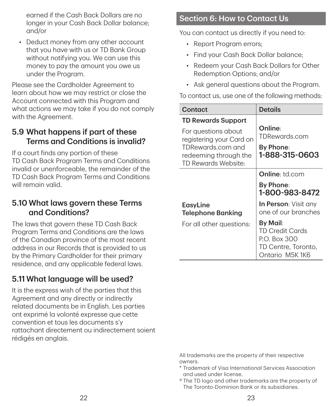earned if the Cash Back Dollars are no longer in your Cash Back Dollar balance; and/or

• Deduct money from any other account that you have with us or TD Bank Group without notifying you. We can use this money to pay the amount you owe us under the Program.

Please see the Cardholder Agreement to learn about how we may restrict or close the Account connected with this Program and what actions we may take if you do not comply with the Agreement.

# 5.9 What happens if part of these Terms and Conditions is invalid?

If a court finds any portion of these TD Cash Back Program Terms and Conditions invalid or unenforceable, the remainder of the TD Cash Back Program Terms and Conditions will remain valid.

### 5.10 What laws govern these Terms and Conditions?

The laws that govern these TD Cash Back Program Terms and Conditions are the laws of the Canadian province of the most recent address in our Records that is provided to us by the Primary Cardholder for their primary residence, and any applicable federal laws.

# 5.11 What language will be used?

It is the express wish of the parties that this Agreement and any directly or indirectly related documents be in English. Les parties ont exprimé la volonté expresse que cette convention et tous les documents s'y rattachant directement ou indirectement soient rédigés en anglais.

# Section 6: How to Contact Us

You can contact us directly if you need to:

- Report Program errors;
- Find your Cash Back Dollar balance;
- Redeem your Cash Back Dollars for Other Redemption Options; and/or
- Ask general questions about the Program.

To contact us, use one of the following methods:

| Contact                                                                                                                                           | <b>Details</b>                                                                       |  |
|---------------------------------------------------------------------------------------------------------------------------------------------------|--------------------------------------------------------------------------------------|--|
| <b>TD Rewards Support</b><br>For questions about<br>registering your Card on<br>TDRewards.com and<br>redeeming through the<br>TD Rewards Website: | Online:<br>TDRewards.com<br>By Phone:<br>1-888-315-0603                              |  |
|                                                                                                                                                   | <b>Online:</b> td.com<br>By Phone:<br>1-800-983-8472                                 |  |
| <b>EasyLine</b><br><b>Telephone Banking</b>                                                                                                       | <b>In Person</b> : Visit any<br>one of our branches                                  |  |
| For all other questions:                                                                                                                          | By Mail:<br>TD Credit Cards<br>P.O. Box 300<br>TD Centre, Toronto,<br>Ontario M5K1K6 |  |

All trademarks are the property of their respective owners.

- \* Trademark of Visa International Services Association and used under license.
- ® The TD logo and other trademarks are the property of The Toronto-Dominion Bank or its subsidiaries.